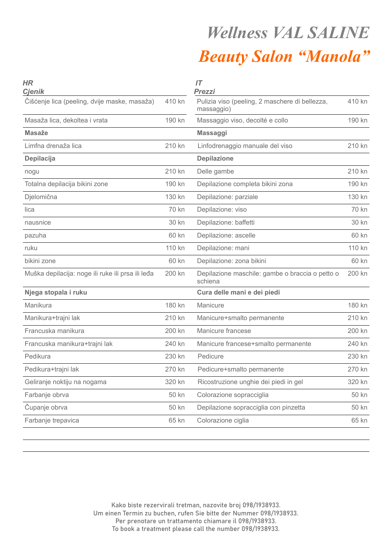## *Wellness VAL SALINE Beauty Salon "Manola"*

| <b>HR</b><br><b>Cjenik</b>                        |        | IT<br><b>Prezzi</b>                                          |        |
|---------------------------------------------------|--------|--------------------------------------------------------------|--------|
| Čišćenje lica (peeling, dvije maske, masaža)      | 410 kn | Pulizia viso (peeling, 2 maschere di bellezza,<br>massaggio) | 410 kn |
| Masaža lica, dekoltea i vrata                     | 190 kn | Massaggio viso, decolté e collo                              | 190 kn |
| <b>Masaže</b>                                     |        | <b>Massaggi</b>                                              |        |
| Limfna drenaža lica                               | 210 kn | Linfodrenaggio manuale del viso                              | 210 kn |
| Depilacija                                        |        | <b>Depilazione</b>                                           |        |
| nogu                                              | 210 kn | Delle gambe                                                  | 210 kn |
| Totalna depilacija bikini zone                    | 190 kn | Depilazione completa bikini zona                             | 190 kn |
| Djelomična                                        | 130 kn | Depilazione: parziale                                        | 130 kn |
| lica                                              | 70 kn  | Depilazione: viso                                            | 70 kn  |
| nausnice                                          | 30 kn  | Depilazione: baffetti                                        | 30 kn  |
| pazuha                                            | 60 kn  | Depilazione: ascelle                                         | 60 kn  |
| ruku                                              | 110 kn | Depilazione: mani                                            | 110 kn |
| bikini zone                                       | 60 kn  | Depilazione: zona bikini                                     | 60 kn  |
| Muška depilacija: noge ili ruke ili prsa ili leđa | 200 kn | Depilazione maschile: gambe o braccia o petto o<br>schiena   | 200 kn |
| Njega stopala i ruku                              |        | Cura delle mani e dei piedi                                  |        |
| Manikura                                          | 180 kn | Manicure                                                     | 180 kn |
| Manikura+trajni lak                               | 210 kn | Manicure+smalto permanente                                   | 210 kn |
| Francuska manikura                                | 200 kn | Manicure francese                                            | 200 kn |
| Francuska manikura+trajni lak                     | 240 kn | Manicure francese+smalto permanente                          | 240 kn |
| Pedikura                                          | 230 kn | Pedicure                                                     | 230 kn |
| Pedikura+trajni lak                               | 270 kn | Pedicure+smalto permanente                                   | 270 kn |
| Geliranje noktiju na nogama                       | 320 kn | Ricostruzione unghie dei piedi in gel                        | 320 kn |
| Farbanje obrva                                    | 50 kn  | Colorazione sopracciglia                                     | 50 kn  |
| Čupanje obrva                                     | 50 kn  | Depilazione sopracciglia con pinzetta                        | 50 kn  |
| Farbanje trepavica                                | 65 kn  | Colorazione ciglia                                           | 65 kn  |

Kako biste rezervirali tretman, nazovite broj 098/1938933. Um einen Termin zu buchen, rufen Sie bitte der Nummer 098/1938933. Per prenotare un trattamento chiamare il 098/1938933. To book a treatment please call the number 098/1938933.